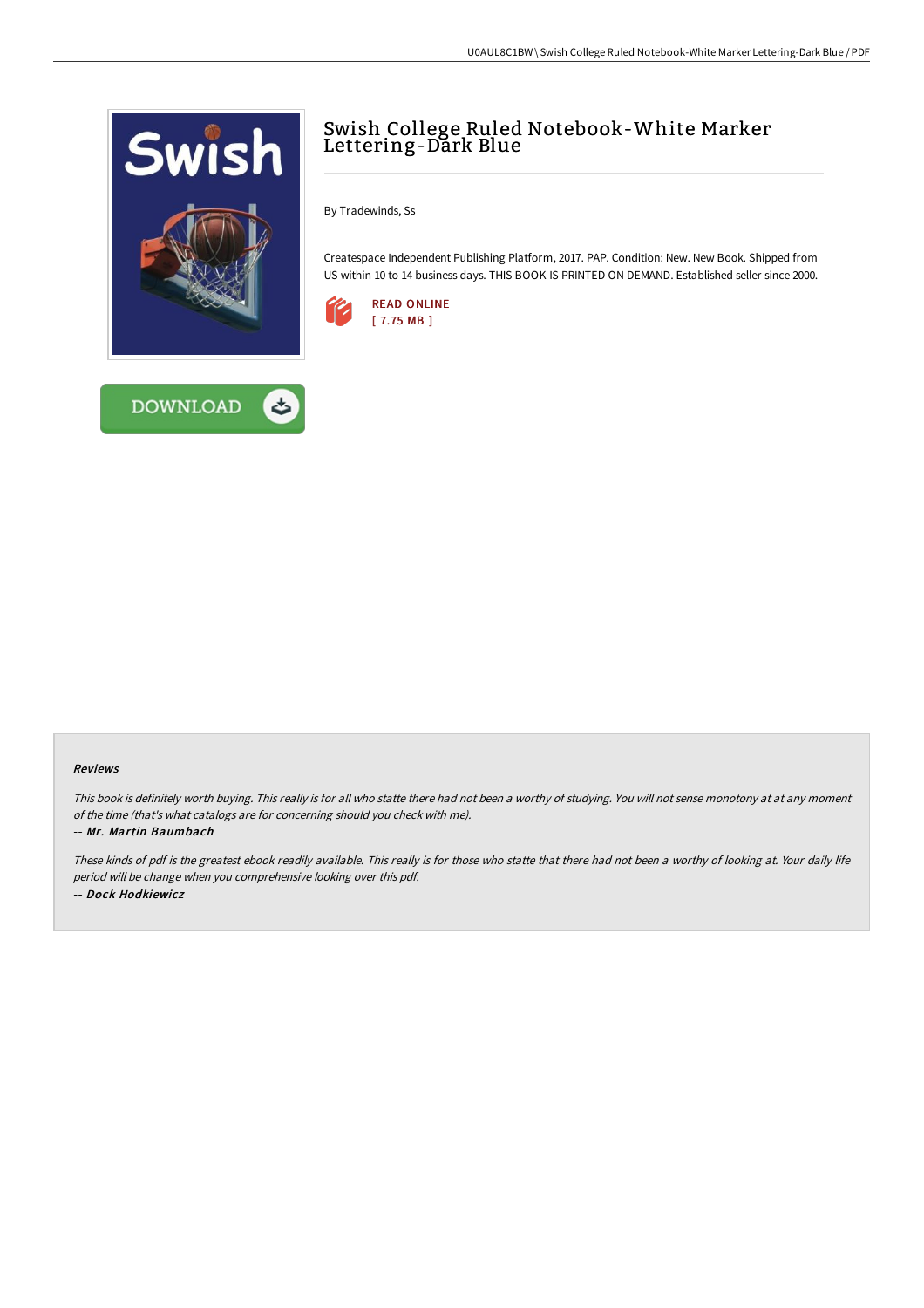



## Swish College Ruled Notebook-White Marker Lettering-Dark Blue

By Tradewinds, Ss

Createspace Independent Publishing Platform, 2017. PAP. Condition: New. New Book. Shipped from US within 10 to 14 business days. THIS BOOK IS PRINTED ON DEMAND. Established seller since 2000.



## Reviews

This book is definitely worth buying. This really is for all who statte there had not been <sup>a</sup> worthy of studying. You will not sense monotony at at any moment of the time (that's what catalogs are for concerning should you check with me).

## -- Mr. Martin Baumbach

These kinds of pdf is the greatest ebook readily available. This really is for those who statte that there had not been <sup>a</sup> worthy of looking at. Your daily life period will be change when you comprehensive looking over this pdf. -- Dock Hodkiewicz